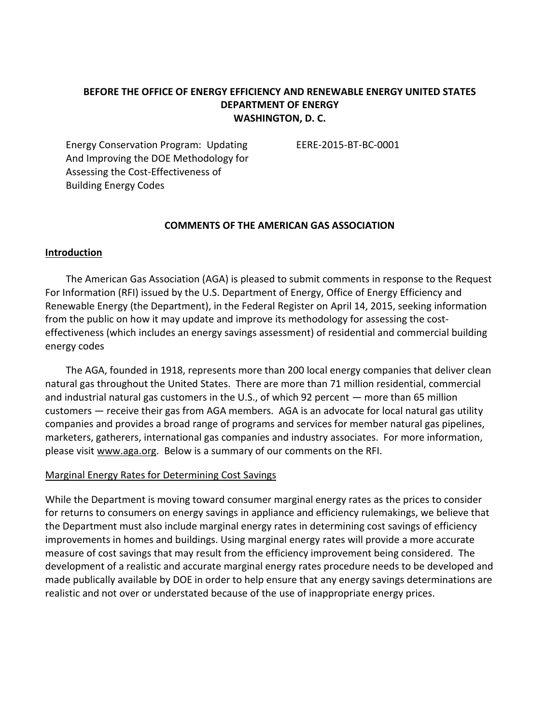# **BEFORE THE OFFICE OF ENERGY EFFICIENCY AND RENEWABLE ENERGY UNITED STATES DEPARTMENT OF ENERGY WASHINGTON, D. C.**

Energy Conservation Program: Updating EERE-2015-BT-BC-0001 And Improving the DOE Methodology for Assessing the Cost-Effectiveness of Building Energy Codes

### **COMMENTS OF THE AMERICAN GAS ASSOCIATION**

#### **Introduction**

The American Gas Association (AGA) is pleased to submit comments in response to the Request For Information (RFI) issued by the U.S. Department of Energy, Office of Energy Efficiency and Renewable Energy (the Department), in the Federal Register on April 14, 2015, seeking information from the public on how it may update and improve its methodology for assessing the costeffectiveness (which includes an energy savings assessment) of residential and commercial building energy codes

The AGA, founded in 1918, represents more than 200 local energy companies that deliver clean natural gas throughout the United States. There are more than 71 million residential, commercial and industrial natural gas customers in the U.S., of which 92 percent — more than 65 million customers — receive their gas from AGA members. AGA is an advocate for local natural gas utility companies and provides a broad range of programs and services for member natural gas pipelines, marketers, gatherers, international gas companies and industry associates. For more information, please visit [www.aga.org.](http://www.aga.org/) Below is a summary of our comments on the RFI.

### Marginal Energy Rates for Determining Cost Savings

While the Department is moving toward consumer marginal energy rates as the prices to consider for returns to consumers on energy savings in appliance and efficiency rulemakings, we believe that the Department must also include marginal energy rates in determining cost savings of efficiency improvements in homes and buildings. Using marginal energy rates will provide a more accurate measure of cost savings that may result from the efficiency improvement being considered. The development of a realistic and accurate marginal energy rates procedure needs to be developed and made publically available by DOE in order to help ensure that any energy savings determinations are realistic and not over or understated because of the use of inappropriate energy prices.